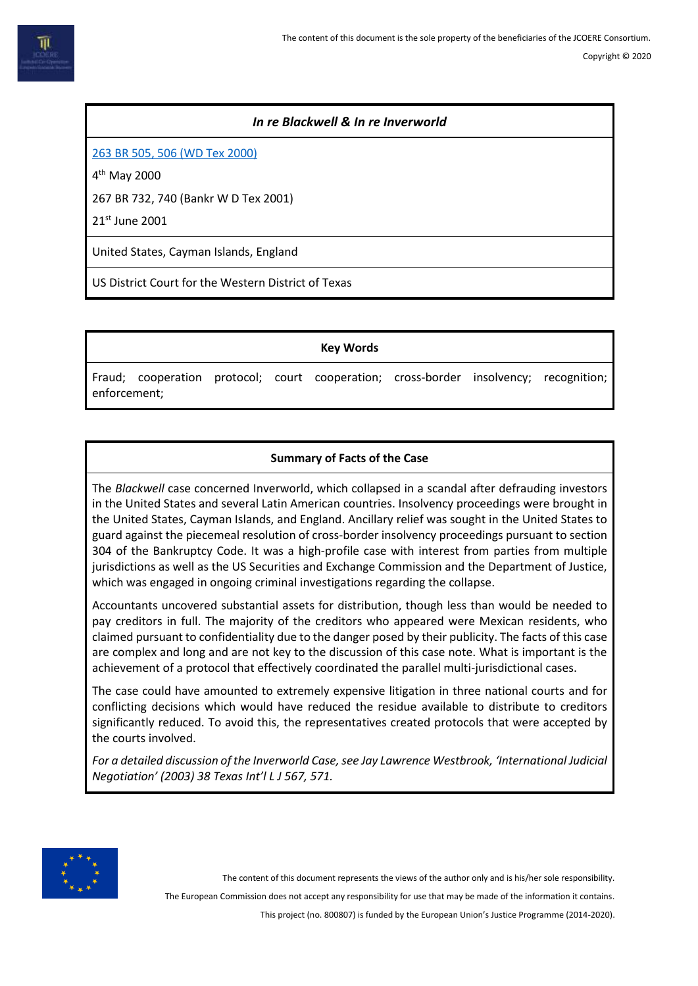### *In re Blackwell & In re Inverworld*

[263 BR 505, 506](https://law.justia.com/cases/federal/district-courts/BR/263/505/1915113/) (WD Tex 2000)

4 th May 2000

267 BR 732, 740 (Bankr W D Tex 2001)

21st June 2001

United States, Cayman Islands, England

US District Court for the Western District of Texas

**Key Words**

Fraud; cooperation protocol; court cooperation; cross-border insolvency; recognition; enforcement;

## **Summary of Facts of the Case**

The *Blackwell* case concerned Inverworld, which collapsed in a scandal after defrauding investors in the United States and several Latin American countries. Insolvency proceedings were brought in the United States, Cayman Islands, and England. Ancillary relief was sought in the United States to guard against the piecemeal resolution of cross-border insolvency proceedings pursuant to section 304 of the Bankruptcy Code. It was a high-profile case with interest from parties from multiple jurisdictions as well as the US Securities and Exchange Commission and the Department of Justice, which was engaged in ongoing criminal investigations regarding the collapse.

Accountants uncovered substantial assets for distribution, though less than would be needed to pay creditors in full. The majority of the creditors who appeared were Mexican residents, who claimed pursuant to confidentiality due to the danger posed by their publicity. The facts of this case are complex and long and are not key to the discussion of this case note. What is important is the achievement of a protocol that effectively coordinated the parallel multi-jurisdictional cases.

The case could have amounted to extremely expensive litigation in three national courts and for conflicting decisions which would have reduced the residue available to distribute to creditors significantly reduced. To avoid this, the representatives created protocols that were accepted by the courts involved.

*For a detailed discussion of the Inverworld Case, see Jay Lawrence Westbrook, 'International Judicial Negotiation' (2003) 38 Texas Int'l L J 567, 571.*



The content of this document represents the views of the author only and is his/her sole responsibility.

The European Commission does not accept any responsibility for use that may be made of the information it contains.

This project (no. 800807) is funded by the European Union's Justice Programme (2014-2020).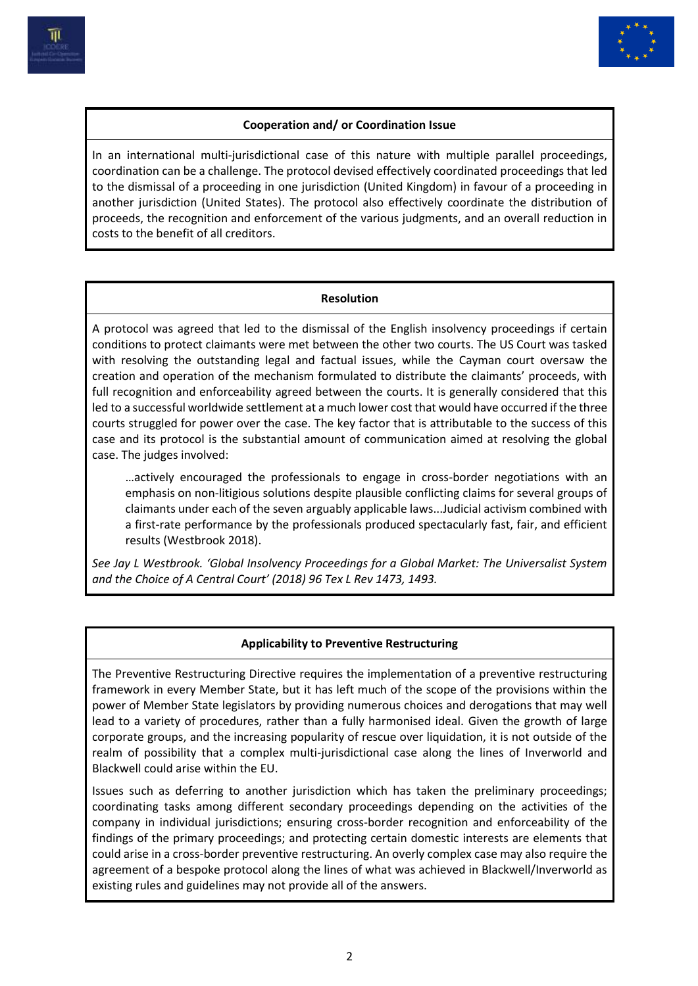



# **Cooperation and/ or Coordination Issue**

In an international multi-jurisdictional case of this nature with multiple parallel proceedings, coordination can be a challenge. The protocol devised effectively coordinated proceedings that led to the dismissal of a proceeding in one jurisdiction (United Kingdom) in favour of a proceeding in another jurisdiction (United States). The protocol also effectively coordinate the distribution of proceeds, the recognition and enforcement of the various judgments, and an overall reduction in costs to the benefit of all creditors.

#### **Resolution**

A protocol was agreed that led to the dismissal of the English insolvency proceedings if certain conditions to protect claimants were met between the other two courts. The US Court was tasked with resolving the outstanding legal and factual issues, while the Cayman court oversaw the creation and operation of the mechanism formulated to distribute the claimants' proceeds, with full recognition and enforceability agreed between the courts. It is generally considered that this led to a successful worldwide settlement at a much lower cost that would have occurred if the three courts struggled for power over the case. The key factor that is attributable to the success of this case and its protocol is the substantial amount of communication aimed at resolving the global case. The judges involved:

…actively encouraged the professionals to engage in cross-border negotiations with an emphasis on non-litigious solutions despite plausible conflicting claims for several groups of claimants under each of the seven arguably applicable laws...Judicial activism combined with a first-rate performance by the professionals produced spectacularly fast, fair, and efficient results (Westbrook 2018).

*See Jay L Westbrook. 'Global Insolvency Proceedings for a Global Market: The Universalist System and the Choice of A Central Court' (2018) 96 Tex L Rev 1473, 1493.*

#### **Applicability to Preventive Restructuring**

The Preventive Restructuring Directive requires the implementation of a preventive restructuring framework in every Member State, but it has left much of the scope of the provisions within the power of Member State legislators by providing numerous choices and derogations that may well lead to a variety of procedures, rather than a fully harmonised ideal. Given the growth of large corporate groups, and the increasing popularity of rescue over liquidation, it is not outside of the realm of possibility that a complex multi-jurisdictional case along the lines of Inverworld and Blackwell could arise within the EU.

Issues such as deferring to another jurisdiction which has taken the preliminary proceedings; coordinating tasks among different secondary proceedings depending on the activities of the company in individual jurisdictions; ensuring cross-border recognition and enforceability of the findings of the primary proceedings; and protecting certain domestic interests are elements that could arise in a cross-border preventive restructuring. An overly complex case may also require the agreement of a bespoke protocol along the lines of what was achieved in Blackwell/Inverworld as existing rules and guidelines may not provide all of the answers.